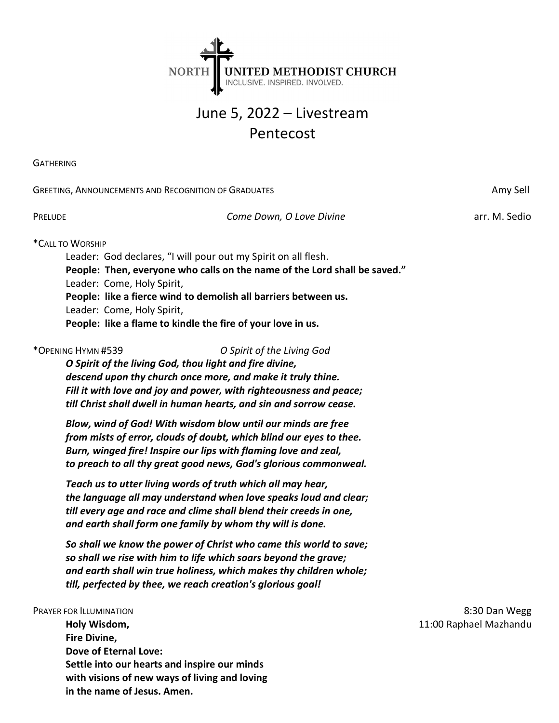

# June 5, 2022 – Livestream Pentecost

**GATHERING** 

GREETING, ANNOUNCEMENTS AND RECOGNITION OF GRADUATES AMOUNT AND SELL AND SELL AND SELL

PRELUDE **Come Down, O Love Divine** and Come Down, O Love Divine and Come Down, O Love Divine

\*CALL TO WORSHIP

Leader: God declares, "I will pour out my Spirit on all flesh. People: Then, everyone who calls on the name of the Lord shall be saved."

Leader: Come, Holy Spirit,

People: like a fierce wind to demolish all barriers between us.

Leader: Come, Holy Spirit,

People: like a flame to kindle the fire of your love in us.

\*OPENING HYMN #539 O Spirit of the Living God

O Spirit of the living God, thou light and fire divine, descend upon thy church once more, and make it truly thine. Fill it with love and joy and power, with righteousness and peace; till Christ shall dwell in human hearts, and sin and sorrow cease.

Blow, wind of God! With wisdom blow until our minds are free from mists of error, clouds of doubt, which blind our eyes to thee. Burn, winged fire! Inspire our lips with flaming love and zeal, to preach to all thy great good news, God's glorious commonweal.

Teach us to utter living words of truth which all may hear, the language all may understand when love speaks loud and clear; till every age and race and clime shall blend their creeds in one, and earth shall form one family by whom thy will is done.

So shall we know the power of Christ who came this world to save; so shall we rise with him to life which soars beyond the grave; and earth shall win true holiness, which makes thy children whole; till, perfected by thee, we reach creation's glorious goal!

Holy Wisdom, 11:00 Raphael Mazhandu Fire Divine, Dove of Eternal Love: Settle into our hearts and inspire our minds with visions of new ways of living and loving in the name of Jesus. Amen.

PRAYER FOR ILLUMINATION 8:30 Dan Wegg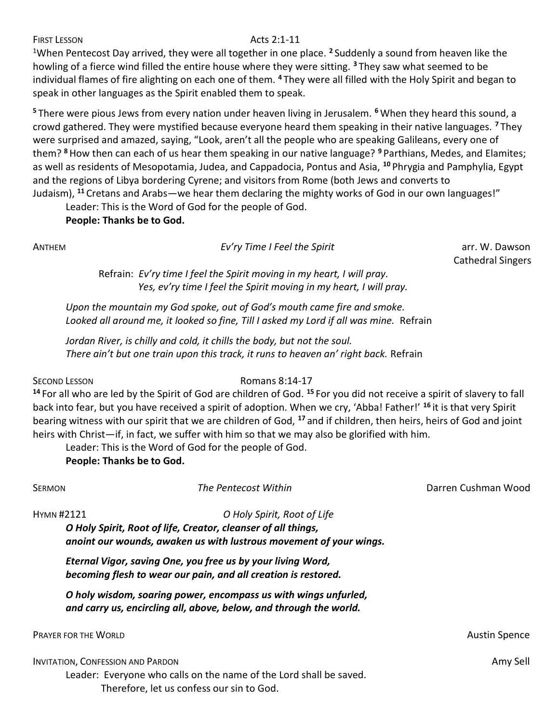## FIRST LESSON Acts 2:1-11

<sup>1</sup>When Pentecost Day arrived, they were all together in one place. <sup>2</sup> Suddenly a sound from heaven like the howling of a fierce wind filled the entire house where they were sitting. <sup>3</sup>They saw what seemed to be individual flames of fire alighting on each one of them. <sup>4</sup>They were all filled with the Holy Spirit and began to speak in other languages as the Spirit enabled them to speak.

<sup>5</sup> There were pious Jews from every nation under heaven living in Jerusalem. <sup>6</sup> When they heard this sound, a crowd gathered. They were mystified because everyone heard them speaking in their native languages. <sup>7</sup>They were surprised and amazed, saying, "Look, aren't all the people who are speaking Galileans, every one of them? <sup>8</sup> How then can each of us hear them speaking in our native language? <sup>9</sup> Parthians, Medes, and Elamites; as well as residents of Mesopotamia, Judea, and Cappadocia, Pontus and Asia, <sup>10</sup> Phrygia and Pamphylia, Egypt and the regions of Libya bordering Cyrene; and visitors from Rome (both Jews and converts to Judaism), <sup>11</sup> Cretans and Arabs—we hear them declaring the mighty works of God in our own languages!"

Leader: This is the Word of God for the people of God.

# People: Thanks be to God.

| ANTHEM | Ev'ry Time I Feel the Spirit                                           | arr. W. Dawson<br><b>Cathedral Singers</b> |
|--------|------------------------------------------------------------------------|--------------------------------------------|
|        | Refrain: Ev'ry time I feel the Spirit moving in my heart, I will pray. |                                            |
|        | Yes, ev'ry time I feel the Spirit moving in my heart, I will pray.     |                                            |

Upon the mountain my God spoke, out of God's mouth came fire and smoke. Looked all around me, it looked so fine, Till I asked my Lord if all was mine. Refrain

Jordan River, is chilly and cold, it chills the body, but not the soul. There ain't but one train upon this track, it runs to heaven an' right back. Refrain

### SECOND LESSON ROMAN ROMANS 8:14-17

<sup>14</sup> For all who are led by the Spirit of God are children of God. <sup>15</sup> For you did not receive a spirit of slavery to fall back into fear, but you have received a spirit of adoption. When we cry, 'Abba! Father!' <sup>16</sup> it is that very Spirit bearing witness with our spirit that we are children of God, <sup>17</sup> and if children, then heirs, heirs of God and joint heirs with Christ—if, in fact, we suffer with him so that we may also be glorified with him.

Leader: This is the Word of God for the people of God.

People: Thanks be to God.

| <b>SERMON</b>                            | The Pentecost Within                                                                                                                                               | Darren Cushman Wood  |
|------------------------------------------|--------------------------------------------------------------------------------------------------------------------------------------------------------------------|----------------------|
| <b>HYMN#2121</b>                         | O Holy Spirit, Root of Life<br>O Holy Spirit, Root of life, Creator, cleanser of all things,<br>anoint our wounds, awaken us with lustrous movement of your wings. |                      |
|                                          | Eternal Vigor, saving One, you free us by your living Word,<br>becoming flesh to wear our pain, and all creation is restored.                                      |                      |
|                                          | O holy wisdom, soaring power, encompass us with wings unfurled,<br>and carry us, encircling all, above, below, and through the world.                              |                      |
| <b>PRAYER FOR THE WORLD</b>              |                                                                                                                                                                    | <b>Austin Spence</b> |
| <b>INVITATION, CONFESSION AND PARDON</b> | Leader: Everyone who calls on the name of the Lord shall be saved.                                                                                                 | Amy Sell             |

Therefore, let us confess our sin to God.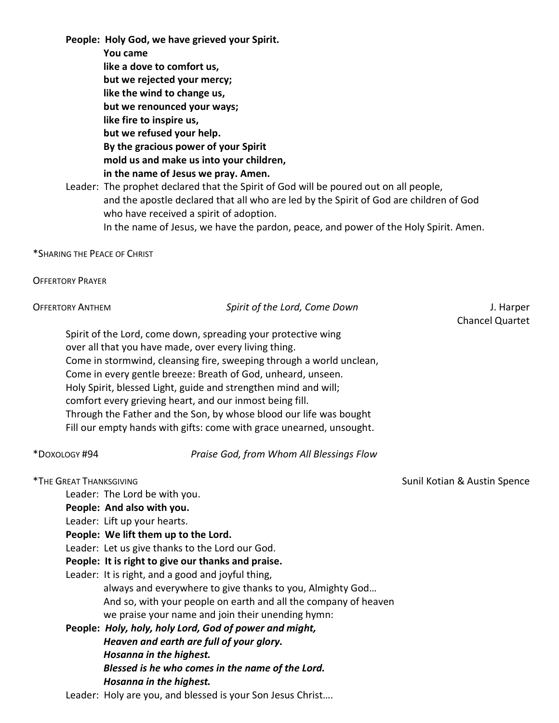People: Holy God, we have grieved your Spirit. You came like a dove to comfort us, but we rejected your mercy; like the wind to change us, but we renounced your ways; like fire to inspire us, but we refused your help. By the gracious power of your Spirit mold us and make us into your children, in the name of Jesus we pray. Amen. Leader: The prophet declared that the Spirit of God will be poured out on all people, and the apostle declared that all who are led by the Spirit of God are children of God who have received a spirit of adoption. In the name of Jesus, we have the pardon, peace, and power of the Holy Spirit. Amen.

\*SHARING THE PEACE OF CHRIST

OFFERTORY PRAYER

| <b>OFFERTORY ANTHEM</b>                                                                                                                                                                                                                                                                                                                                                                                                                                                                                                                     | Spirit of the Lord, Come Down            | J. Harper              |
|---------------------------------------------------------------------------------------------------------------------------------------------------------------------------------------------------------------------------------------------------------------------------------------------------------------------------------------------------------------------------------------------------------------------------------------------------------------------------------------------------------------------------------------------|------------------------------------------|------------------------|
|                                                                                                                                                                                                                                                                                                                                                                                                                                                                                                                                             |                                          | <b>Chancel Quartet</b> |
| Spirit of the Lord, come down, spreading your protective wing<br>over all that you have made, over every living thing.<br>Come in stormwind, cleansing fire, sweeping through a world unclean,<br>Come in every gentle breeze: Breath of God, unheard, unseen.<br>Holy Spirit, blessed Light, guide and strengthen mind and will;<br>comfort every grieving heart, and our inmost being fill.<br>Through the Father and the Son, by whose blood our life was bought<br>Fill our empty hands with gifts: come with grace unearned, unsought. |                                          |                        |
| *DOXOLOGY #94                                                                                                                                                                                                                                                                                                                                                                                                                                                                                                                               | Praise God, from Whom All Blessings Flow |                        |
|                                                                                                                                                                                                                                                                                                                                                                                                                                                                                                                                             |                                          |                        |

Leader: The Lord be with you.

People: And also with you.

Leader: Lift up your hearts.

People: We lift them up to the Lord.

Leader: Let us give thanks to the Lord our God.

People: It is right to give our thanks and praise.

Leader: It is right, and a good and joyful thing,

 always and everywhere to give thanks to you, Almighty God… And so, with your people on earth and all the company of heaven we praise your name and join their unending hymn:

People: Holy, holy, holy Lord, God of power and might, Heaven and earth are full of your glory. Hosanna in the highest. Blessed is he who comes in the name of the Lord. Hosanna in the highest.

Leader: Holy are you, and blessed is your Son Jesus Christ….

\*THE GREAT THANKSGIVING Sunil Kotian & Austin Spence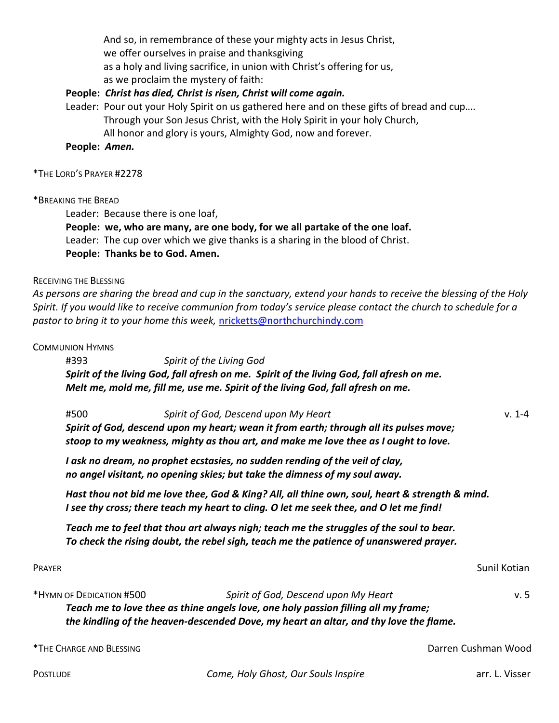And so, in remembrance of these your mighty acts in Jesus Christ, we offer ourselves in praise and thanksgiving as a holy and living sacrifice, in union with Christ's offering for us, as we proclaim the mystery of faith:

### People: Christ has died, Christ is risen, Christ will come again.

Leader: Pour out your Holy Spirit on us gathered here and on these gifts of bread and cup…. Through your Son Jesus Christ, with the Holy Spirit in your holy Church, All honor and glory is yours, Almighty God, now and forever.

People: Amen.

\*THE LORD'S PRAYER #2278

#### \*BREAKING THE BREAD

Leader: Because there is one loaf,

People: we, who are many, are one body, for we all partake of the one loaf. Leader: The cup over which we give thanks is a sharing in the blood of Christ. People: Thanks be to God. Amen.

#### RECEIVING THE BLESSING

As persons are sharing the bread and cup in the sanctuary, extend your hands to receive the blessing of the Holy Spirit. If you would like to receive communion from today's service please contact the church to schedule for a pastor to bring it to your home this week, nricketts@northchurchindy.com

COMMUNION HYMNS

#393 Spirit of the Living God Spirit of the living God, fall afresh on me. Spirit of the living God, fall afresh on me. Melt me, mold me, fill me, use me. Spirit of the living God, fall afresh on me.

#500 Spirit of God, Descend upon My Heart v. 1-4 Spirit of God, descend upon my heart; wean it from earth; through all its pulses move; stoop to my weakness, mighty as thou art, and make me love thee as I ought to love.

I ask no dream, no prophet ecstasies, no sudden rending of the veil of clay, no angel visitant, no opening skies; but take the dimness of my soul away.

Hast thou not bid me love thee, God & King? All, all thine own, soul, heart & strength & mind. I see thy cross; there teach my heart to cling. O let me seek thee, and O let me find!

Teach me to feel that thou art always nigh; teach me the struggles of the soul to bear. To check the rising doubt, the rebel sigh, teach me the patience of unanswered prayer.

**PRAYER** Sunil Kotian

\*HYMN OF DEDICATION #500 Spirit of God, Descend upon My Heart v. 5 Teach me to love thee as thine angels love, one holy passion filling all my frame; the kindling of the heaven-descended Dove, my heart an altar, and thy love the flame.

\*THE CHARGE AND BLESSING Darren Cushman Wood POSTLUDE **Come, Holy Ghost, Our Souls Inspire Constant Come, Holy Ghost, Our Souls Inspire arr. L. Visser**